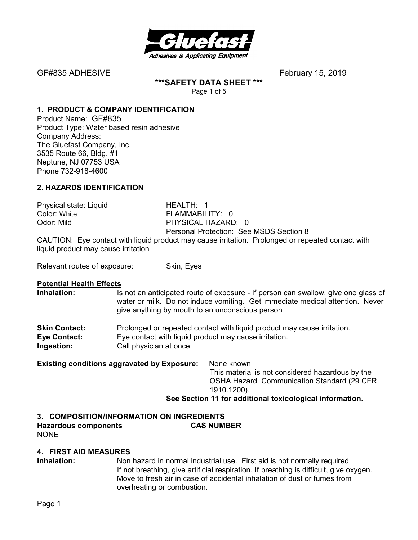

**\*\*\*SAFETY DATA SHEET \*\*\*** 

Page 1 of 5

### **1. PRODUCT & COMPANY IDENTIFICATION**

Product Name: GF#835 Product Type: Water based resin adhesive Company Address: The Gluefast Company, Inc. 3535 Route 66, Bldg. #1 Neptune, NJ 07753 USA Phone 732-918-4600

#### **2. HAZARDS IDENTIFICATION**

Physical state: Liquid HEALTH: 1 FLAMMABILITY: 0 Odor: Mild **PHYSICAL HAZARD: 0** Personal Protection: See MSDS Section 8

CAUTION: Eye contact with liquid product may cause irritation. Prolonged or repeated contact with liquid product may cause irritation

Relevant routes of exposure: Skin, Eyes

# **Potential Health Effects**

Is not an anticipated route of exposure - If person can swallow, give one glass of water or milk. Do not induce vomiting. Get immediate medical attention. Never give anything by mouth to an unconscious person

| <b>Skin Contact:</b> | Prolonged or repeated contact with liquid product may cause irritation. |
|----------------------|-------------------------------------------------------------------------|
| Eye Contact:         | Eye contact with liquid product may cause irritation.                   |
| Ingestion:           | Call physician at once                                                  |

**Existing conditions aggravated by Exposure:** None known

This material is not considered hazardous by the OSHA Hazard Communication Standard (29 CFR 1910.1200).

#### **See Section 11 for additional toxicological information.**

# **3. COMPOSITION/INFORMATION ON INGREDIENTS Hazardous components CAS NUMBER**

NONE

#### **4. FIRST AID MEASURES**

**Inhalation:** Non hazard in normal industrial use. First aid is not normally required If not breathing, give artificial respiration. If breathing is difficult, give oxygen. Move to fresh air in case of accidental inhalation of dust or fumes from overheating or combustion.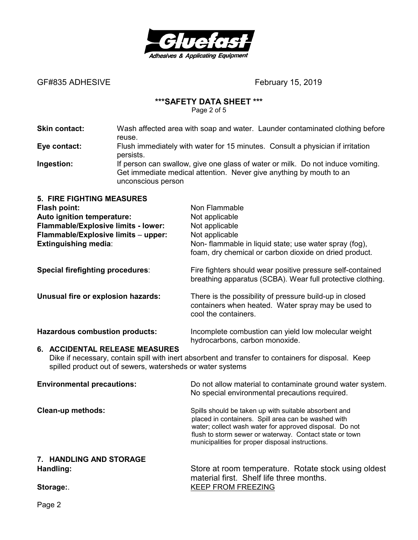

#### **\*\*\*SAFETY DATA SHEET \*\*\***

Page 2 of 5

**Skin contact:** Wash affected area with soap and water. Launder contaminated clothing before reuse. **Eye contact:** Flush immediately with water for 15 minutes. Consult a physician if irritation persists. **Ingestion:** If person can swallow, give one glass of water or milk. Do not induce vomiting. Get immediate medical attention. Never give anything by mouth to an unconscious person **5. FIRE FIGHTING MEASURES Flash point:** Non Flammable **Auto ignition temperature:** Not applicable **Flammable/Explosive limits - lower:** Not applicable **Flammable/Explosive limits** – **upper:** Not applicable **Extinguishing media:** Non- flammable in liquid state; use water spray (fog), foam, dry chemical or carbon dioxide on dried product. **Special firefighting procedures:** Fire fighters should wear positive pressure self-contained breathing apparatus (SCBA). Wear full protective clothing. **Unusual fire or explosion hazards:** There is the possibility of pressure build-up in closed containers when heated. Water spray may be used to cool the containers. **Hazardous combustion products:** Incomplete combustion can yield low molecular weight hydrocarbons, carbon monoxide. **6. ACCIDENTAL RELEASE MEASURES** 

Dike if necessary, contain spill with inert absorbent and transfer to containers for disposal. Keep spilled product out of sewers, watersheds or water systems

| <b>Environmental precautions:</b> | Do not allow material to contaminate ground water system.<br>No special environmental precautions required.                                                                                                                                                                            |
|-----------------------------------|----------------------------------------------------------------------------------------------------------------------------------------------------------------------------------------------------------------------------------------------------------------------------------------|
| Clean-up methods:                 | Spills should be taken up with suitable absorbent and<br>placed in containers. Spill area can be washed with<br>water; collect wash water for approved disposal. Do not<br>flush to storm sewer or waterway. Contact state or town<br>municipalities for proper disposal instructions. |
| 7. HANDLING AND STORAGE           |                                                                                                                                                                                                                                                                                        |
| Handling:                         | Store at room temperature. Rotate stock using oldest<br>material first. Shelf life three months.                                                                                                                                                                                       |

Storage: WebStorage: And The Storage: All the Storage of the Storage of the Storage of the Storage of the Storage of the Storage of the Storage of the Storage of the Storage of the Storage of the Storage of the Storage of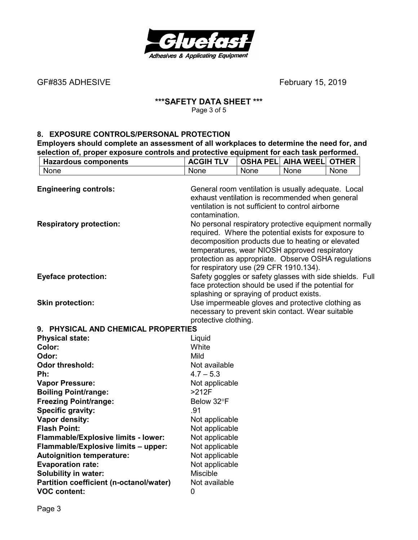

#### **\*\*\*SAFETY DATA SHEET \*\*\***  Page 3 of 5

#### **8. EXPOSURE CONTROLS/PERSONAL PROTECTION**

**Employers should complete an assessment of all workplaces to determine the need for, and selection of, proper exposure controls and protective equipment for each task performed.** 

| <b>Hazardous components</b>             | <b>ACGIH TLV</b>                                                    |      | <b>OSHA PEL AIHA WEEL</b> | <b>OTHER</b> |  |
|-----------------------------------------|---------------------------------------------------------------------|------|---------------------------|--------------|--|
| None                                    | None                                                                | None | None                      | None         |  |
|                                         |                                                                     |      |                           |              |  |
| <b>Engineering controls:</b>            | General room ventilation is usually adequate. Local                 |      |                           |              |  |
|                                         | exhaust ventilation is recommended when general                     |      |                           |              |  |
|                                         | ventilation is not sufficient to control airborne<br>contamination. |      |                           |              |  |
| <b>Respiratory protection:</b>          | No personal respiratory protective equipment normally               |      |                           |              |  |
|                                         | required. Where the potential exists for exposure to                |      |                           |              |  |
|                                         | decomposition products due to heating or elevated                   |      |                           |              |  |
|                                         | temperatures, wear NIOSH approved respiratory                       |      |                           |              |  |
|                                         | protection as appropriate. Observe OSHA regulations                 |      |                           |              |  |
|                                         | for respiratory use (29 CFR 1910.134).                              |      |                           |              |  |
| <b>Eyeface protection:</b>              | Safety goggles or safety glasses with side shields. Full            |      |                           |              |  |
|                                         | face protection should be used if the potential for                 |      |                           |              |  |
|                                         | splashing or spraying of product exists.                            |      |                           |              |  |
| <b>Skin protection:</b>                 | Use impermeable gloves and protective clothing as                   |      |                           |              |  |
|                                         | necessary to prevent skin contact. Wear suitable                    |      |                           |              |  |
| 9. PHYSICAL AND CHEMICAL PROPERTIES     | protective clothing.                                                |      |                           |              |  |
| <b>Physical state:</b>                  | Liquid                                                              |      |                           |              |  |
| Color:                                  | White                                                               |      |                           |              |  |
| Odor:                                   | Mild                                                                |      |                           |              |  |
| <b>Odor threshold:</b>                  | Not available                                                       |      |                           |              |  |
| Ph:                                     | $4.7 - 5.3$                                                         |      |                           |              |  |
| <b>Vapor Pressure:</b>                  | Not applicable                                                      |      |                           |              |  |
| <b>Boiling Point/range:</b>             | $>212F$                                                             |      |                           |              |  |
| <b>Freezing Point/range:</b>            | Below 32°F                                                          |      |                           |              |  |
| <b>Specific gravity:</b>                | .91                                                                 |      |                           |              |  |
| Vapor density:                          | Not applicable                                                      |      |                           |              |  |
| <b>Flash Point:</b>                     | Not applicable                                                      |      |                           |              |  |
| Flammable/Explosive limits - lower:     | Not applicable                                                      |      |                           |              |  |
| Flammable/Explosive limits - upper:     | Not applicable                                                      |      |                           |              |  |
| <b>Autoignition temperature:</b>        | Not applicable                                                      |      |                           |              |  |
| <b>Evaporation rate:</b>                | Not applicable                                                      |      |                           |              |  |
| <b>Solubility in water:</b>             | <b>Miscible</b>                                                     |      |                           |              |  |
| Partition coefficient (n-octanol/water) | Not available                                                       |      |                           |              |  |
| <b>VOC content:</b>                     | 0                                                                   |      |                           |              |  |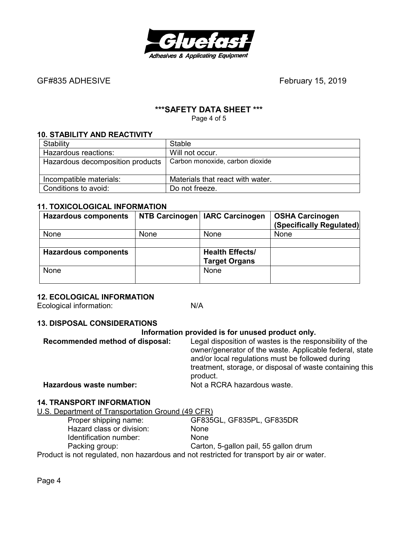

# **\*\*\*SAFETY DATA SHEET \*\*\***

Page 4 of 5

#### **10. STABILITY AND REACTIVITY**

| Stability                        | Stable                           |
|----------------------------------|----------------------------------|
| Hazardous reactions:             | Will not occur.                  |
| Hazardous decomposition products | Carbon monoxide, carbon dioxide  |
| Incompatible materials:          | Materials that react with water. |
| Conditions to avoid:             | Do not freeze.                   |

#### **11. TOXICOLOGICAL INFORMATION**

| <b>Hazardous components</b> |      | NTB Carcinogen   IARC Carcinogen | <b>OSHA Carcinogen</b><br>(Specifically Regulated) |
|-----------------------------|------|----------------------------------|----------------------------------------------------|
| None                        | None | None                             | None                                               |
|                             |      |                                  |                                                    |
| <b>Hazardous components</b> |      | <b>Health Effects/</b>           |                                                    |
|                             |      | <b>Target Organs</b>             |                                                    |
| None                        |      | <b>None</b>                      |                                                    |
|                             |      |                                  |                                                    |

### **12. ECOLOGICAL INFORMATION**

Ecological information: N/A

#### **13. DISPOSAL CONSIDERATIONS**

#### **Information provided is for unused product only.**

| Recommended method of disposal: | Legal disposition of wastes is the responsibility of the<br>owner/generator of the waste. Applicable federal, state<br>and/or local regulations must be followed during<br>treatment, storage, or disposal of waste containing this<br>product. |
|---------------------------------|-------------------------------------------------------------------------------------------------------------------------------------------------------------------------------------------------------------------------------------------------|
| Hazardous waste number:         | Not a RCRA hazardous waste.                                                                                                                                                                                                                     |
|                                 |                                                                                                                                                                                                                                                 |

#### **14. TRANSPORT INFORMATION**  U.S. Department of Transportation Ground (49 CFR)

| <b>U.U. DEDAITING IT OF THANSPORATION ORDER TO A THEFT</b>                                |                                       |
|-------------------------------------------------------------------------------------------|---------------------------------------|
| Proper shipping name:                                                                     | GF835GL, GF835PL, GF835DR             |
| Hazard class or division:                                                                 | None                                  |
| Identification number:                                                                    | <b>None</b>                           |
| Packing group:                                                                            | Carton, 5-gallon pail, 55 gallon drum |
| Product is not regulated, non hazardous and not restricted for transport by air or water. |                                       |

Page 4